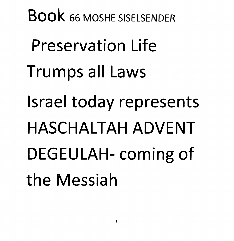*Book <sup>66</sup> MOSHE SISELSENDER Preservation Life Trumps all Laws Israel today represents HASCHALTAH ADVENT DEGEULAH-coming of the Messiah*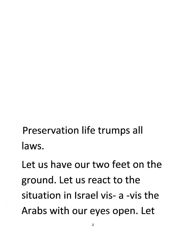*Preservation life trumps all laws.*

*Let us have our two feet on the ground. Let us react to the situation in Israel vis- a -vis the Arabs with our eyes open. Let*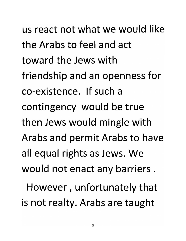*us react not what we would like the Arabs to feel and act toward the Jews with friendship and an openness for co-existence. If such a contingency would be true then Jews would mingle with Arabs and permit Arabs to have all equal rights as Jews. We would not enact any barriers . However, unfortunately that*

*is not realty. Arabs are taught*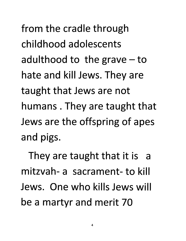*from the cradle through childhood adolescents adulthood to the grave-to hate and kill Jews. They are taught that Jews are not humans . They are taught that Jews are the offspring of apes and pigs.*

*They are taught that it is a mitzvah- a sacrament- to kill Jews. One who kills Jews will be a martyr and merit 70*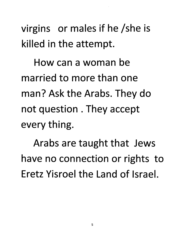*virgins or males if he /she is killed in the attempt.*

*How can a woman be married to more than one man? Ask the Arabs. They do not question . They accept every thing.*

*Arabs are taught that Jews have no connection or rights to Eretz Yisroel the Land of Israel.*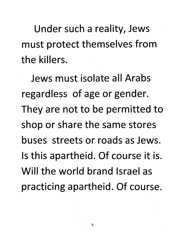*Under such a reality, Jews must protect themselves from the killers.*

*Jews must isolate all Arabs regardless of age or gender. They are not to be permitted to shop or share the same stores buses streets or roads as Jews. Is this apartheid. Of course it is. Will the world brand Israel as practicing apartheid. Of course.*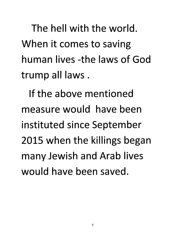*The hell with the world. When it comes to saving human lives -the laws of God trump all laws.*

*If the above mentioned measure would have been instituted since September 2015 when the killings began many Jewish and Arab lives would have been saved.*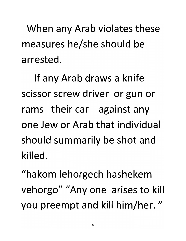*When any Arab violates these measures he/she should be arrested.*

*If any Arab draws a knife scissor screw driver or gun or rams their car against any one Jew or Arab that individual should summarily be shot and killed.*

*"hakom lehorgech hashekem vehorgo" "Any one arises to kill you preempt and kill him/her. "*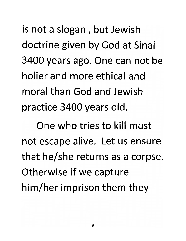*is not a slogan , but Jewish doctrine given by God at Sinai 3400 years ago. One can not be holier and more ethical and moral than God and Jewish practice 3400 years old.*

*One who tries to kill must not escape alive. Let us ensure that he/she returns as a corpse. Otherwise if we capture him/her imprison them they*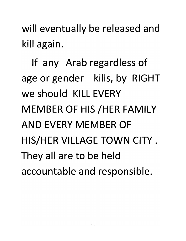*will eventually be released and kill again.*

*If any Arab regardless of age or gender kills, by RIGHT we should KILL EVERY MEMBER OF HIS /HER FAMILY AND EVERY MEMBER OF HIS/HER VILLAGE TOWN CITY . They all are to be held accountable and responsible.*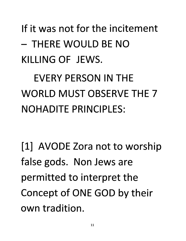*If it was not for the incitement - THERE WOULD BE NO KILLING OF JEWS.*

*EVERY PERSON IN THE WORLD MUST OBSERVE THE 7 NOHADITE PRINCIPLES:*

*[1] AVODE Zora not to worship false gods. Non Jews are permitted to interpret the Concept of ONE GOD by their own tradition.*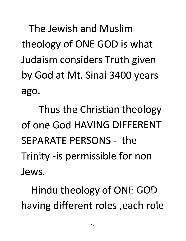*The Jewish and Muslim theology of ONE GOD is what Judaism considers Truth given by God at Mt. Sinai 3400 years ago.*

*Thus the Christian theology of one God HAVING DIFFERENT SEPARATE PERSONS - the Trinity -is permissible for non Jews.*

*Hindu theology of ONE GOD having different roles ,each role*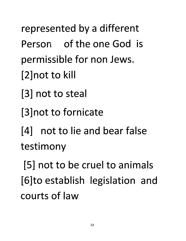*represented by a different Person of the one God is permissible for non Jews. [2]notto kill*

- *[3] not to steal*
- *[3]not to fornicate*

*[4] not to lie and bear false testimony*

*[5] not to be cruel to animals [6]to establish legislation and courts of law*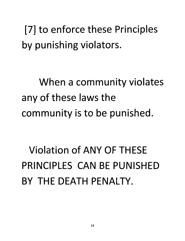*[7] to enforce these Principles by punishing violators.*

*When a community violates any of these laws the community is to be punished.*

*Violation of ANY OF THESE PRINCIPLES CAN BE PUNISHED BY THE DEATH PENALTY.*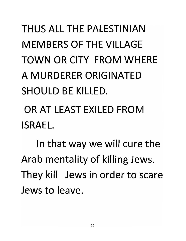# *THUS ALL THE PALESTINIAN MEMBERS OF THE VILLAGE TOWN OR CITY FROM WHERE A MURDERER ORIGINATED SHOULD BE KILLED.*

*OR AT LEAST EXILED FROM ISRAEL.*

*In that way we will cure the Arab mentality of killing Jews. They kill Jews in order to scare Jews to leave.*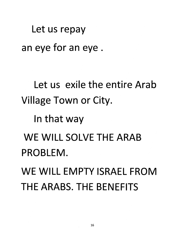*Let us repay an eye for an eye*

*Let us exile the entire Arab Village Town or City.*

*In that way*

*WE WILL SOLVE THE ARAB PROBLEM.*

*WE WILL EMPTY ISRAEL FROM THE ARABS. THE BENEFITS*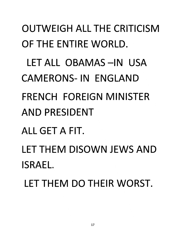*OUTWEIGH ALL THE CRITICISM OF THE ENTIRE WORLD. LET ALL OBAMAS-IN USA CAMERONS-IN ENGLAND FRENCH FOREIGN MINISTER AND PRESIDENT ALL GET A FIT. LET THEM DISOWN JEWS AND ISRAEL.*

*LET THEM DO THEIR WORST.*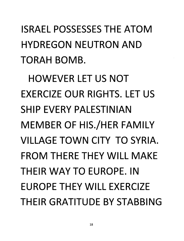*ISRAEL POSSESSES THE ATOM HYDREGON NEUTRON AND TORAH BOMB.*

*HOWEVER LET US NOT EXERCIZE OUR RIGHTS. LET US SHIP EVERY PALESTINIAN MEMBER OF HIS./HER FAMILY VILLAGE TOWN CITY TO SYRIA. FROM THERE THEY WILL MAKE THEIR WAY TO EUROPE. IN EUROPE THEY WILL EXERCIZE THEIR GRATITUDE BY STABBING*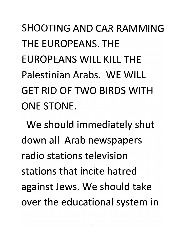*SHOOTING AND CAR RAMMING THE EUROPEANS. THE EUROPEANS WILL KILL THE Palestinian Arabs. WE WILL GET RID OF TWO BIRDS WITH ONE STONE.*

*We should immediately shut down all Arab newspapers radio stations television stations that incite hatred against Jews. We should take over the educational system in*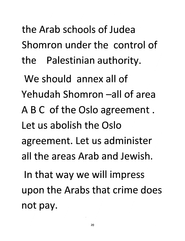*the Arab schools of Judea Shomron under the control of the Palestinian authority.*

*We should annex all of Yehudah Shomron -all of area ABC of the Oslo agreement. Let us abolish the Oslo agreement. Let us administer all the areas Arab and Jewish. In that way we will impress upon the Arabs that crime does not pay.*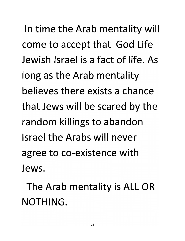*n time the Arab mentality will come to accept that God Life Jewish Israel is a fact of life. As long as the Arab mentality believes there exists a chance that Jews will be scared by the random killings to abandon Israel the Arabs will never agree to co-existence with Jews.*

*The Arab mentality is ALL OR NOTHING.*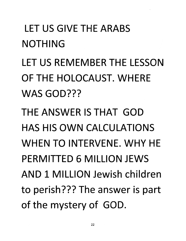## *LET US GIVE THE ARABS NOTHING*

*LET US REMEMBER THE LESSON OF THE HOLOCAUST. WHERE WAS GOD???*

*THE ANSWER IS THAT GOD HAS HIS OWN CALCULATIONS WHEN TO INTERVENE. WHY HE PERMITTED 6 MILLION JEWS AND 1 MILLION Jewish children to perish??? The answer is part of the mystery of GOD.*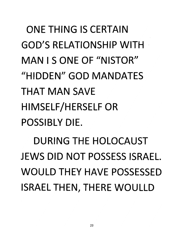# *ONE THING IS CERTAIN GOD'S RELATIONSHIP WITH MANISONEOF"NISTOR" "HIDDEN" GOD MANDATES THAT MAN SAVE HIMSELF/HERSELF OR POSSIBLY DIE.*

*DURING THE HOLOCAUST JEWS DID NOT POSSESS ISRAEL. WOULD THEY HAVE POSSESSED ISRAEL THEN, THERE WOULLD*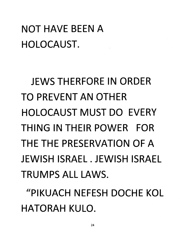### *NOT HAVE BEEN A HOLOCAUST.*

*JEWSTHERFORE IN ORDER TO PREVENT AN OTHER HOLOCAUST MUST DO EVERY THING IN THEIR POWER FOR THE THE PRESERVATION OF A JEWISH ISRAEL . JEWISH ISRAEL TRUMPS ALL LAWS.*

*"PIKUACH NEFESH DOCHE KOL HATORAH KULO.*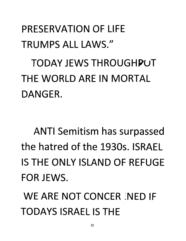#### *PRESERVATION OF LIFE TRUMPS ALL LAWS/'*

*TODAY JEWS THROUGHPUT THE WORLD ARE IN MORTAL DANGER.*

*ANTI Semitism has surpassed the hatred of the 1930s. ISRAEL IS THE ONLY ISLAND OF REFUGE FOR JEWS.*

*WE ARE NOT CONCER iNED IF TODAYS ISRAEL IS THE*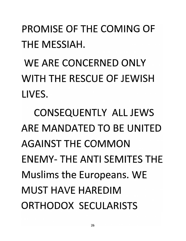*PROMISE OF THE COMING OF THE MESSIAH.*

*WE ARE CONCERNED ONLY WITH THE RESCUE OF JEWISH LIVES.*

*CONSEQUENTLY ALL JEWS ARE MANDATED TO BE UNITED AGAINST THE COMMON ENEMY- THE ANTI SEMITES THE Muslims the Europeans. WE MUST HAVE HAREDIM ORTHODOX SECULARISTS*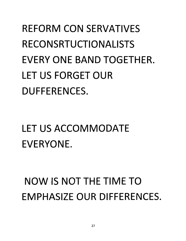## *REFORM CON SERVATIVES RECONSRTUCTIONALISTS EVERY ONE BAND TOGETHER. LET US FORGET OUR DUFFERENCES.*

## *LET US ACCOMMODATE EVERYONE.*

### *NOW IS NOT THE TIME TO EMPHASIZE OUR DIFFERENCES.*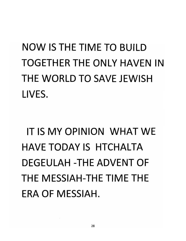# *NOW IS THE TIME TO BUILD TOGETHER THE ONLY HAVEN IN THE WORLD TO SAVE JEWISH LIVES.*

## *IT IS MY OPINION WHAT WE HAVE TODAY IS HTCHALTA DEGEULAH -THE ADVENT OF THE MESSIAH-THE TIME THE ERA OF MESSIAH.*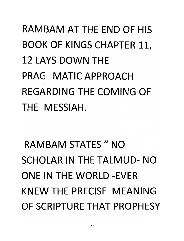# *RAMBAM AT THE END OF HIS BOOK OF KINGS CHAPTER 11, 12 LAYS DOWN THE PRAG MATIC APPROACH REGARDING THE COMING OF THE MESSIAH.*

# *RAMBAM STATES " NO SCHOLAR IN THE TALMUD- NO ONE IN THE WORLD-EVER KNEW THE PRECISE MEANING OF SCRIPTURE THAT PROPHESY*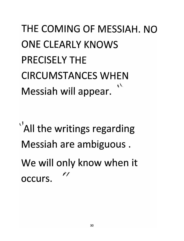#### *THE COMING OF MESSIAH. NO ONE CLEARLY KNOWS PRECISELY THE CIRCUMSTANCES WHEN*  $\prime$ *Messiah will appear.*

 $\lambda$ <sup>*'*</sup>All the writings regarding *Messiah are ambiguous. We will only know when it*  $\rlap/v$ *occurs.*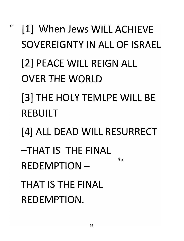## $\phi$ *[1] When Jews WILL ACHIEVE SOVEREIGNTY IN ALL OF ISRAEL [2] PEACE WILL REIGN ALL OVER THE WORLD [3] THE HOLY TEMLPE WILL BE REBUILT [4] ALL DEAD WILL RESURRECT -THAT IS THE FINAL* **KA** *REDEMPTION-THAT IS THE FINAL REDEMPTION.*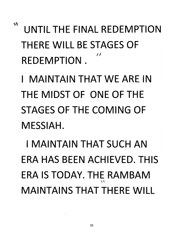*\* UNTILTHE FINAL REDEMPTION THERE WILL BE STAGES OF*  $f f$ *REDEMPTION.*

*I MAINTAIN THAT WE ARE IN THE MIDST OF ONE OF THE STAGES OF THE COMING OF MESSIAH.*

*I MAINTAIN THAT SUCH AN ERA HAS BEEN ACHIEVED. THIS ERA IS TODAY. THE RAMBAM vi MAINTAINS THAT THERE WILL*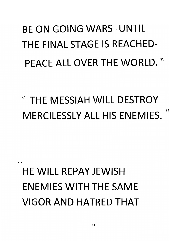# *BE ON GOING WARS -UNTIL THE FINAL STAGE IS REACHED-PEACE ALL OVER THE WORLD. \\*

*\* THE MESSIAH WILL DESTROY MERCILESSLY ALL HIS ENEMIES. ('*

 $\sqrt{ }$ *HE WILL REPAY JEWISH ENEMIES WITH THE SAME VIGOR AND HATRED THAT*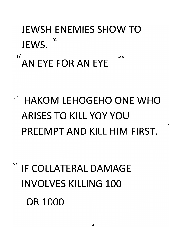## *JEWSH ENEMIES SHOW TO JEWS. \**

# *'AN EYE FOR AN EYE*

*V HAKOM LEHOGEHO ONE WHO ARISES TO KILL YOY YOU PREEMPT AND KILL HIM FIRST.*

 $\lambda$ 

 $\sqrt{ }$ 

*xV IF COLLATERAL DAMAGE INVOLVES KILLING 100 OR 1000*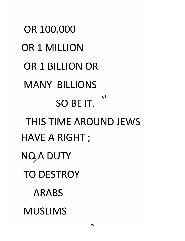*OR 100,000 OR 1 MILLION OR 1 BILLION OR MANY BILLIONS*  $\mathbf{v}$ *SO BE IT. THIS TIME AROUND JEWS HAVE A RIGHT; NQ>A DUTY TO DESTROY ARABS MUSLIMS*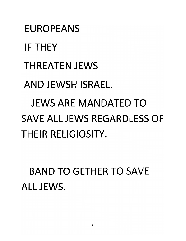*EUROPEANS IF THEY THREATEN JEWS AND JEWSH ISRAEL JEWS ARE MANDATED TO SAVE ALL JEWS REGARDLESS OF THEIR RELIGIOSITY.*

*BAND TO GETHER TO SAVE ALL JEWS.*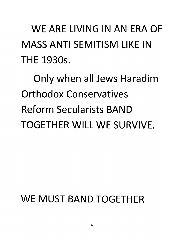## *WE ARE LIVING IN AN ERA OF MASS ANTI SEMITISM LIKE IN THE 1930s.*

*Only when all Jews Haradim Orthodox Conservatives Reform Secularists BAND TOGETHER WILL WE SURVIVE.*

#### *WE MUST BAND TOGETHER*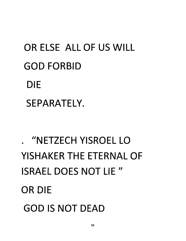# *OR ELSE ALL OF US WILL GOD FORBID DIE SEPARATELY.*

# *. "NETZECH YISROEL LO YISHAKER THE ETERNAL OF ISRAEL DOES NOT LIE //OR DIE GOD IS NOT DEAD*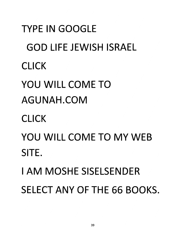*TYPE IN GOOGLE GOD LIFE JEWISH ISRAEL CLICK YOU WILL COME TO AGUNAH.COM CLICK YOU WILL COME TO MY WEB SITE.* **I AM MOSHE SISELSENDER** *SELECT ANY OF THE 66 BOOKS.*